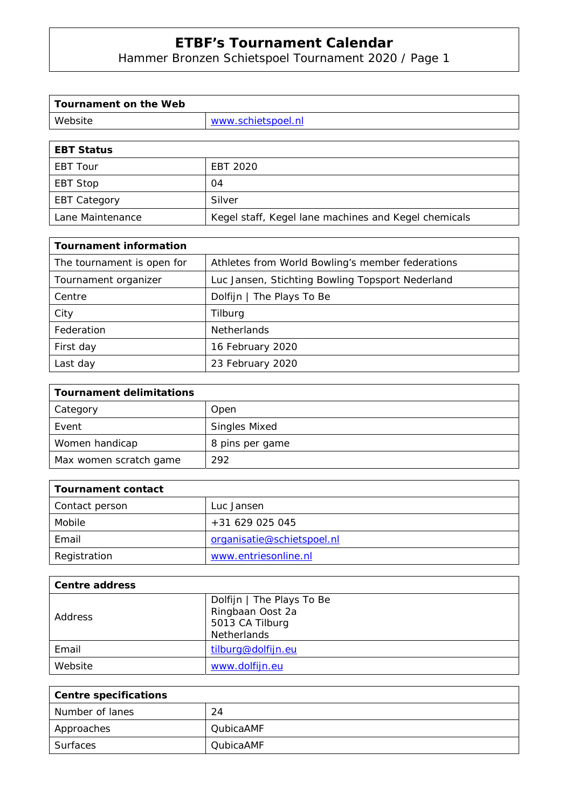Hammer Bronzen Schietspoel Tournament 2020 / Page 1

| Tournament on the Web |                    |
|-----------------------|--------------------|
| Website               | www.schietspoel.nl |
|                       |                    |

| <b>EBT Status</b>   |                                                      |
|---------------------|------------------------------------------------------|
| EBT Tour            | EBT 2020                                             |
| EBT Stop            | 04                                                   |
| <b>EBT Category</b> | Silver                                               |
| Lane Maintenance    | Kegel staff, Kegel lane machines and Kegel chemicals |

| <b>Tournament information</b> |                                                  |
|-------------------------------|--------------------------------------------------|
| The tournament is open for    | Athletes from World Bowling's member federations |
| Tournament organizer          | Luc Jansen, Stichting Bowling Topsport Nederland |
| Centre                        | Dolfijn   The Plays To Be                        |
| City                          | Tilburg                                          |
| Federation                    | <b>Netherlands</b>                               |
| First day                     | 16 February 2020                                 |
| Last day                      | 23 February 2020                                 |

| <b>Tournament delimitations</b> |                      |
|---------------------------------|----------------------|
| Category                        | Open                 |
| Event                           | <b>Singles Mixed</b> |
| Women handicap                  | 8 pins per game      |
| Max women scratch game          | 292                  |

| Tournament contact |                            |
|--------------------|----------------------------|
| Contact person     | Luc Jansen                 |
| Mobile             | +31 629 025 045            |
| Email              | organisatie@schietspoel.nl |
| Registration       | www.entriesonline.nl       |

| Centre address |                                                                                        |
|----------------|----------------------------------------------------------------------------------------|
| Address        | Dolfijn   The Plays To Be<br>Ringbaan Oost 2a<br>5013 CA Tilburg<br><b>Netherlands</b> |
| Email          | tilburg@dolfijn.eu                                                                     |
| Website        | www.dolfijn.eu                                                                         |

| <b>Centre specifications</b> |                  |
|------------------------------|------------------|
| Number of lanes              | 24               |
| Approaches                   | <b>QubicaAMF</b> |
| Surfaces                     | <b>OubicaAMF</b> |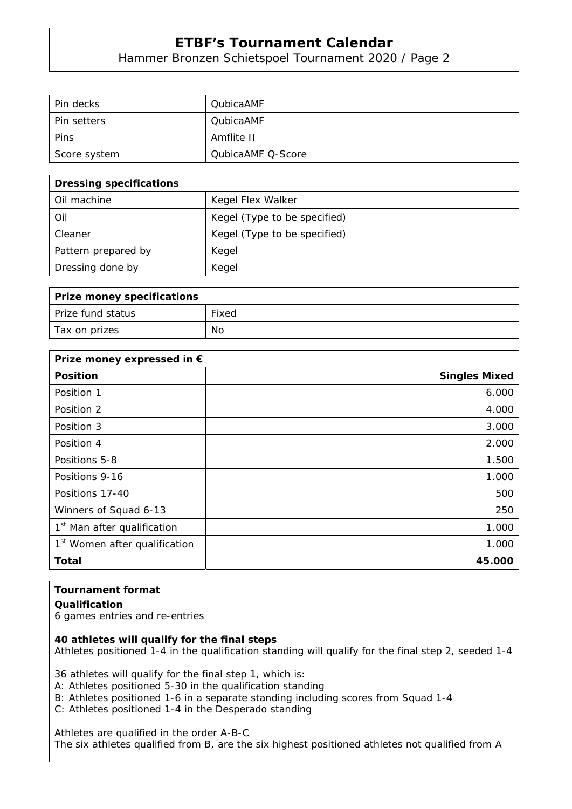Hammer Bronzen Schietspoel Tournament 2020 / Page 2

| Pin decks          | <b>QubicaAMF</b>         |
|--------------------|--------------------------|
| <b>Pin setters</b> | <b>QubicaAMF</b>         |
| Pins               | Amflite II               |
| Score system       | <b>QubicaAMF Q-Score</b> |

| <b>Dressing specifications</b> |                              |
|--------------------------------|------------------------------|
| Oil machine                    | Kegel Flex Walker            |
| Oil                            | Kegel (Type to be specified) |
| Cleaner                        | Kegel (Type to be specified) |
| Pattern prepared by            | Kegel                        |
| Dressing done by               | Kegel                        |

| Prize money specifications |       |
|----------------------------|-------|
| l Prize fund status        | Fixed |
| Tax on prizes              | No    |

| Prize money expressed in €                |                      |
|-------------------------------------------|----------------------|
| <b>Position</b>                           | <b>Singles Mixed</b> |
| Position 1                                | 6.000                |
| Position 2                                | 4.000                |
| Position 3                                | 3.000                |
| Position 4                                | 2.000                |
| Positions 5-8                             | 1.500                |
| Positions 9-16                            | 1.000                |
| Positions 17-40                           | 500                  |
| Winners of Squad 6-13                     | 250                  |
| 1 <sup>st</sup> Man after qualification   | 1.000                |
| 1 <sup>st</sup> Women after qualification | 1.000                |
| <b>Total</b>                              | 45.000               |

### **Tournament format**

#### **Qualification**

6 games entries and re-entries

**40 athletes will qualify for the final steps** 

Athletes positioned 1-4 in the qualification standing will qualify for the final step 2, seeded 1-4

36 athletes will qualify for the final step 1, which is:

A: Athletes positioned 5-30 in the qualification standing

B: Athletes positioned 1-6 in a separate standing including scores from Squad 1-4

C: Athletes positioned 1-4 in the Desperado standing

Athletes are qualified in the order A-B-C

The six athletes qualified from B, are the six highest positioned athletes not qualified from A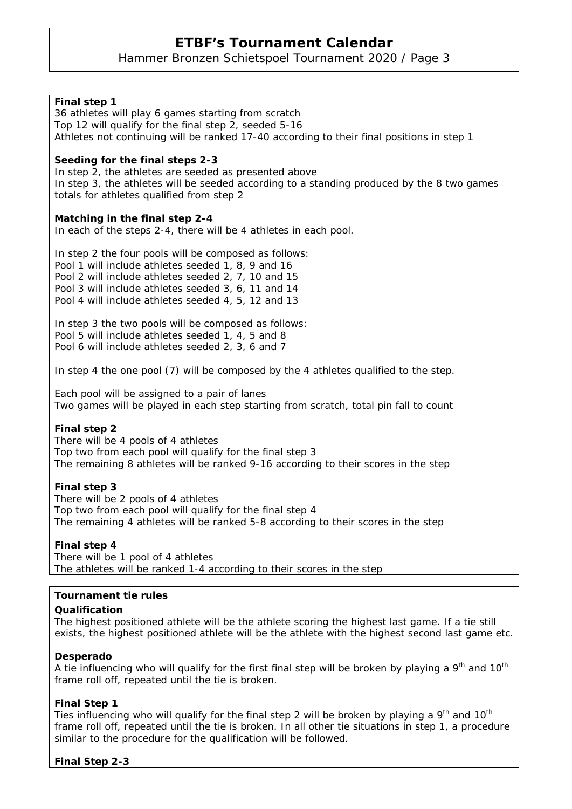Hammer Bronzen Schietspoel Tournament 2020 / Page 3

| Final step 1<br>36 athletes will play 6 games starting from scratch<br>Top 12 will qualify for the final step 2, seeded 5-16<br>Athletes not continuing will be ranked 17-40 according to their final positions in step 1                                                        |
|----------------------------------------------------------------------------------------------------------------------------------------------------------------------------------------------------------------------------------------------------------------------------------|
| Seeding for the final steps 2-3<br>In step 2, the athletes are seeded as presented above<br>In step 3, the athletes will be seeded according to a standing produced by the 8 two games<br>totals for athletes qualified from step 2                                              |
| Matching in the final step 2-4<br>In each of the steps 2-4, there will be 4 athletes in each pool.                                                                                                                                                                               |
| In step 2 the four pools will be composed as follows:<br>Pool 1 will include athletes seeded 1, 8, 9 and 16<br>Pool 2 will include athletes seeded 2, 7, 10 and 15<br>Pool 3 will include athletes seeded 3, 6, 11 and 14<br>Pool 4 will include athletes seeded 4, 5, 12 and 13 |
| In step 3 the two pools will be composed as follows:<br>Pool 5 will include athletes seeded 1, 4, 5 and 8<br>Pool 6 will include athletes seeded 2, 3, 6 and 7                                                                                                                   |
| In step 4 the one pool (7) will be composed by the 4 athletes qualified to the step.                                                                                                                                                                                             |
| Each pool will be assigned to a pair of lanes<br>Two games will be played in each step starting from scratch, total pin fall to count                                                                                                                                            |
| Final step 2<br>There will be 4 pools of 4 athletes<br>Top two from each pool will qualify for the final step 3<br>The remaining 8 athletes will be ranked 9-16 according to their scores in the step                                                                            |
| Final step 3<br>There will be 2 pools of 4 athletes<br>Top two from each pool will qualify for the final step 4<br>The remaining 4 athletes will be ranked 5-8 according to their scores in the step                                                                             |
| Final step 4<br>There will be 1 pool of 4 athletes<br>The athletes will be ranked 1-4 according to their scores in the step                                                                                                                                                      |
| <b>Tournament tie rules</b>                                                                                                                                                                                                                                                      |
| Qualification                                                                                                                                                                                                                                                                    |
| The highest positioned athlete will be the athlete scoring the highest last game. If a tie still<br>exists, the highest positioned athlete will be the athlete with the highest second last game etc.                                                                            |
| Desperado                                                                                                                                                                                                                                                                        |

A tie influencing who will qualify for the first final step will be broken by playing a  $9<sup>th</sup>$  and  $10<sup>th</sup>$ frame roll off, repeated until the tie is broken.

### **Final Step 1**

Ties influencing who will qualify for the final step 2 will be broken by playing a  $9<sup>th</sup>$  and  $10<sup>th</sup>$ frame roll off, repeated until the tie is broken. In all other tie situations in step 1, a procedure similar to the procedure for the qualification will be followed.

### **Final Step 2-3**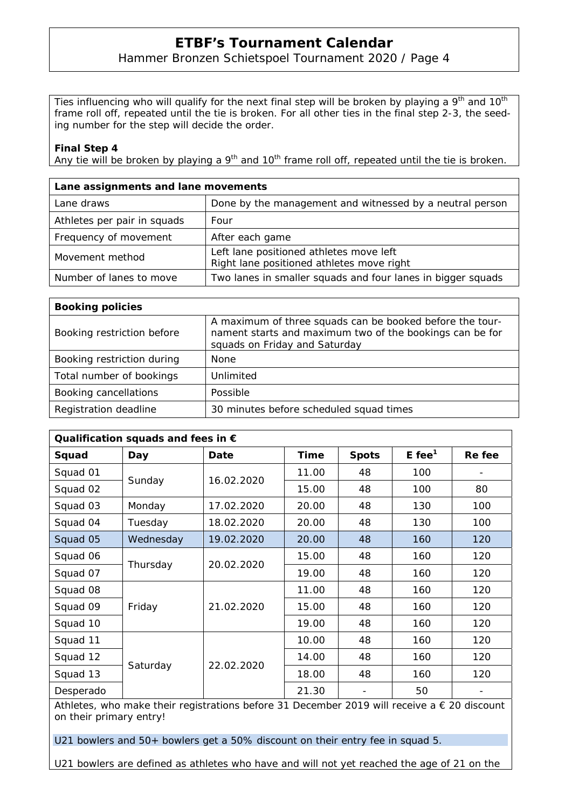### Hammer Bronzen Schietspoel Tournament 2020 / Page 4

Ties influencing who will qualify for the next final step will be broken by playing a  $9<sup>th</sup>$  and  $10<sup>th</sup>$ frame roll off, repeated until the tie is broken. For all other ties in the final step 2-3, the seeding number for the step will decide the order.

#### **Final Step 4**

Any tie will be broken by playing a  $9<sup>th</sup>$  and 10<sup>th</sup> frame roll off, repeated until the tie is broken.

| Lane assignments and lane movements |                                                                                      |  |  |  |  |
|-------------------------------------|--------------------------------------------------------------------------------------|--|--|--|--|
| Lane draws                          | Done by the management and witnessed by a neutral person                             |  |  |  |  |
| Athletes per pair in squads         | Four                                                                                 |  |  |  |  |
| Frequency of movement               | After each game                                                                      |  |  |  |  |
| Movement method                     | Left lane positioned athletes move left<br>Right lane positioned athletes move right |  |  |  |  |
| Number of lanes to move             | Two lanes in smaller squads and four lanes in bigger squads                          |  |  |  |  |

| <b>Booking policies</b>    |                                                                                                                                                       |  |  |  |  |
|----------------------------|-------------------------------------------------------------------------------------------------------------------------------------------------------|--|--|--|--|
| Booking restriction before | A maximum of three squads can be booked before the tour-<br>nament starts and maximum two of the bookings can be for<br>squads on Friday and Saturday |  |  |  |  |
| Booking restriction during | <b>None</b>                                                                                                                                           |  |  |  |  |
| Total number of bookings   | Unlimited                                                                                                                                             |  |  |  |  |
| Booking cancellations      | Possible                                                                                                                                              |  |  |  |  |
| Registration deadline      | 30 minutes before scheduled squad times                                                                                                               |  |  |  |  |

| Qualification squads and fees in $\epsilon$ |           |            |       |              |                      |        |  |  |  |
|---------------------------------------------|-----------|------------|-------|--------------|----------------------|--------|--|--|--|
| Squad                                       | Day       | Date       | Time  | <b>Spots</b> | $E$ fee <sup>1</sup> | Re fee |  |  |  |
| Squad 01                                    | Sunday    | 16.02.2020 | 11.00 | 48           | 100                  |        |  |  |  |
| Squad 02                                    |           |            | 15.00 | 48           | 100                  | 80     |  |  |  |
| Squad 03                                    | Monday    | 17.02.2020 | 20.00 | 48           | 130                  | 100    |  |  |  |
| Squad 04                                    | Tuesday   | 18.02.2020 | 20.00 | 48           | 130                  | 100    |  |  |  |
| Squad 05                                    | Wednesday | 19.02.2020 | 20.00 | 48           | 160                  | 120    |  |  |  |
| Squad 06                                    | Thursday  | 20.02.2020 | 15.00 | 48           | 160                  | 120    |  |  |  |
| Squad 07                                    |           |            | 19.00 | 48           | 160                  | 120    |  |  |  |
| Squad 08                                    | Friday    | 21.02.2020 | 11.00 | 48           | 160                  | 120    |  |  |  |
| Squad 09                                    |           |            | 15.00 | 48           | 160                  | 120    |  |  |  |
| Squad 10                                    |           |            | 19.00 | 48           | 160                  | 120    |  |  |  |
| Squad 11                                    | Saturday  | 22.02.2020 | 10.00 | 48           | 160                  | 120    |  |  |  |
| Squad 12                                    |           |            | 14.00 | 48           | 160                  | 120    |  |  |  |
| Squad 13                                    |           |            | 18.00 | 48           | 160                  | 120    |  |  |  |
| Desperado                                   |           |            | 21.30 |              | 50                   |        |  |  |  |

Athletes, who make their registrations before 31 December 2019 will receive a € 20 discount on their primary entry!

U21 bowlers and 50+ bowlers get a 50% discount on their entry fee in squad 5.

U21 bowlers are defined as athletes who have and will not yet reached the age of 21 on the